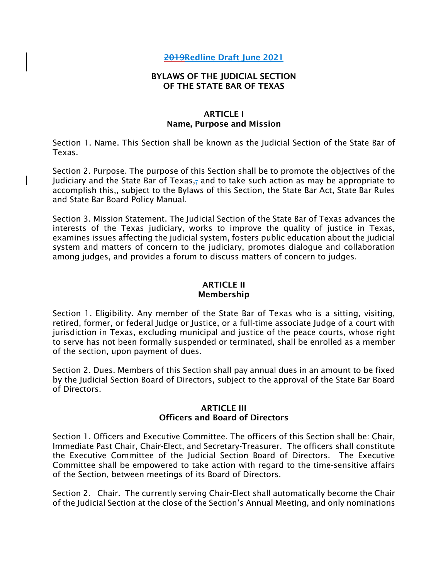# 2019Redline Draft June 2021

### BYLAWS OF THE JUDICIAL SECTION OF THE STATE BAR OF TEXAS

### ARTICLE I Name, Purpose and Mission

Section 1. Name. This Section shall be known as the Judicial Section of the State Bar of Texas.

Section 2. Purpose. The purpose of this Section shall be to promote the objectives of the Judiciary and the State Bar of Texas, and to take such action as may be appropriate to accomplish this,, subject to the Bylaws of this Section, the State Bar Act, State Bar Rules and State Bar Board Policy Manual.

Section 3. Mission Statement. The Judicial Section of the State Bar of Texas advances the interests of the Texas judiciary, works to improve the quality of justice in Texas, examines issues affecting the judicial system, fosters public education about the judicial system and matters of concern to the judiciary, promotes dialogue and collaboration among judges, and provides a forum to discuss matters of concern to judges.

#### ARTICLE II Membership

Section 1. Eligibility. Any member of the State Bar of Texas who is a sitting, visiting, retired, former, or federal Judge or Justice, or a full-time associate Judge of a court with jurisdiction in Texas, excluding municipal and justice of the peace courts, whose right to serve has not been formally suspended or terminated, shall be enrolled as a member of the section, upon payment of dues.

Section 2. Dues. Members of this Section shall pay annual dues in an amount to be fixed by the Judicial Section Board of Directors, subject to the approval of the State Bar Board of Directors.

## ARTICLE III Officers and Board of Directors

Section 1. Officers and Executive Committee. The officers of this Section shall be: Chair, Immediate Past Chair, Chair-Elect, and Secretary-Treasurer. The officers shall constitute the Executive Committee of the Judicial Section Board of Directors. The Executive Committee shall be empowered to take action with regard to the time-sensitive affairs of the Section, between meetings of its Board of Directors.

Section 2. Chair. The currently serving Chair-Elect shall automatically become the Chair of the Judicial Section at the close of the Section's Annual Meeting, and only nominations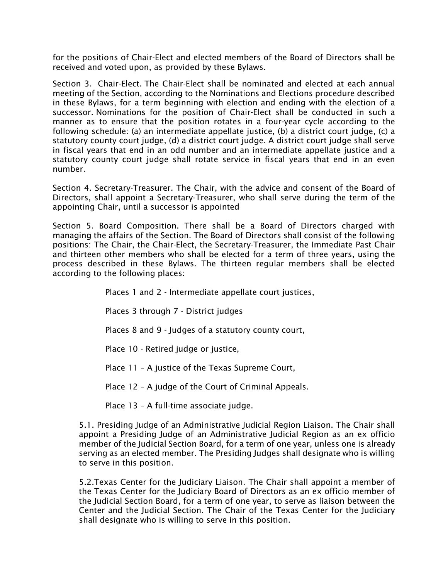for the positions of Chair-Elect and elected members of the Board of Directors shall be received and voted upon, as provided by these Bylaws.

Section 3. Chair-Elect. The Chair-Elect shall be nominated and elected at each annual meeting of the Section, according to the Nominations and Elections procedure described in these Bylaws, for a term beginning with election and ending with the election of a successor. Nominations for the position of Chair-Elect shall be conducted in such a manner as to ensure that the position rotates in a four-year cycle according to the following schedule: (a) an intermediate appellate justice, (b) a district court judge, (c) a statutory county court judge, (d) a district court judge. A district court judge shall serve in fiscal years that end in an odd number and an intermediate appellate justice and a statutory county court judge shall rotate service in fiscal years that end in an even number.

Section 4. Secretary-Treasurer. The Chair, with the advice and consent of the Board of Directors, shall appoint a Secretary-Treasurer, who shall serve during the term of the appointing Chair, until a successor is appointed

Section 5. Board Composition. There shall be a Board of Directors charged with managing the affairs of the Section. The Board of Directors shall consist of the following positions: The Chair, the Chair-Elect, the Secretary-Treasurer, the Immediate Past Chair and thirteen other members who shall be elected for a term of three years, using the process described in these Bylaws. The thirteen regular members shall be elected according to the following places:

Places 1 and 2 - Intermediate appellate court justices,

Places 3 through 7 - District judges

Places 8 and 9 - Judges of a statutory county court,

Place 10 - Retired judge or justice,

Place 11 – A justice of the Texas Supreme Court,

Place 12 – A judge of the Court of Criminal Appeals.

Place 13 – A full-time associate judge.

5.1. Presiding Judge of an Administrative Judicial Region Liaison. The Chair shall appoint a Presiding Judge of an Administrative Judicial Region as an ex officio member of the Judicial Section Board, for a term of one year, unless one is already serving as an elected member. The Presiding Judges shall designate who is willing to serve in this position.

5.2.Texas Center for the Judiciary Liaison. The Chair shall appoint a member of the Texas Center for the Judiciary Board of Directors as an ex officio member of the Judicial Section Board, for a term of one year, to serve as liaison between the Center and the Judicial Section. The Chair of the Texas Center for the Judiciary shall designate who is willing to serve in this position.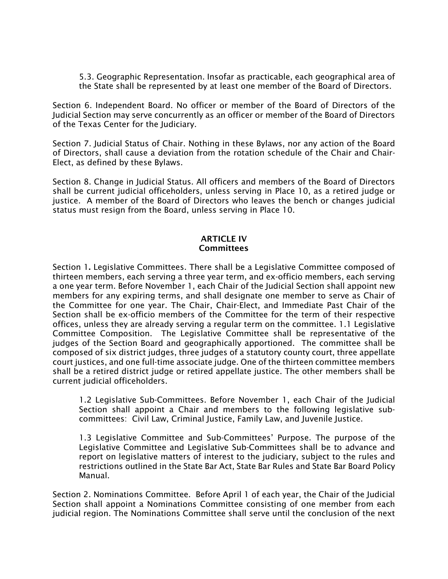5.3. Geographic Representation. Insofar as practicable, each geographical area of the State shall be represented by at least one member of the Board of Directors.

Section 6. Independent Board. No officer or member of the Board of Directors of the Judicial Section may serve concurrently as an officer or member of the Board of Directors of the Texas Center for the Judiciary.

Section 7. Judicial Status of Chair. Nothing in these Bylaws, nor any action of the Board of Directors, shall cause a deviation from the rotation schedule of the Chair and Chair-Elect, as defined by these Bylaws.

Section 8. Change in Judicial Status. All officers and members of the Board of Directors shall be current judicial officeholders, unless serving in Place 10, as a retired judge or justice. A member of the Board of Directors who leaves the bench or changes judicial status must resign from the Board, unless serving in Place 10.

# ARTICLE IV Committees

Section 1. Legislative Committees. There shall be a Legislative Committee composed of thirteen members, each serving a three year term, and ex-officio members, each serving a one year term. Before November 1, each Chair of the Judicial Section shall appoint new members for any expiring terms, and shall designate one member to serve as Chair of the Committee for one year. The Chair, Chair-Elect, and Immediate Past Chair of the Section shall be ex-officio members of the Committee for the term of their respective offices, unless they are already serving a regular term on the committee. 1.1 Legislative Committee Composition. The Legislative Committee shall be representative of the judges of the Section Board and geographically apportioned. The committee shall be composed of six district judges, three judges of a statutory county court, three appellate court justices, and one full-time associate judge. One of the thirteen committee members shall be a retired district judge or retired appellate justice. The other members shall be current judicial officeholders.

1.2 Legislative Sub-Committees. Before November 1, each Chair of the Judicial Section shall appoint a Chair and members to the following legislative subcommittees: Civil Law, Criminal Justice, Family Law, and Juvenile Justice.

1.3 Legislative Committee and Sub-Committees' Purpose. The purpose of the Legislative Committee and Legislative Sub-Committees shall be to advance and report on legislative matters of interest to the judiciary, subject to the rules and restrictions outlined in the State Bar Act, State Bar Rules and State Bar Board Policy Manual.

Section 2. Nominations Committee. Before April 1 of each year, the Chair of the Judicial Section shall appoint a Nominations Committee consisting of one member from each judicial region. The Nominations Committee shall serve until the conclusion of the next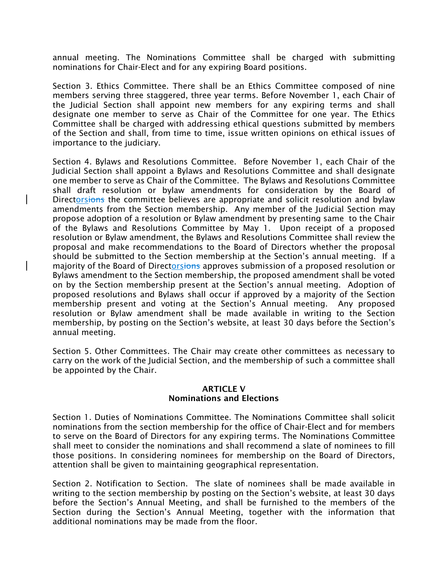annual meeting. The Nominations Committee shall be charged with submitting nominations for Chair-Elect and for any expiring Board positions.

Section 3. Ethics Committee. There shall be an Ethics Committee composed of nine members serving three staggered, three year terms. Before November 1, each Chair of the Judicial Section shall appoint new members for any expiring terms and shall designate one member to serve as Chair of the Committee for one year. The Ethics Committee shall be charged with addressing ethical questions submitted by members of the Section and shall, from time to time, issue written opinions on ethical issues of importance to the judiciary.

Section 4. Bylaws and Resolutions Committee. Before November 1, each Chair of the Judicial Section shall appoint a Bylaws and Resolutions Committee and shall designate one member to serve as Chair of the Committee. The Bylaws and Resolutions Committee shall draft resolution or bylaw amendments for consideration by the Board of Directorsions the committee believes are appropriate and solicit resolution and bylaw amendments from the Section membership. Any member of the Judicial Section may propose adoption of a resolution or Bylaw amendment by presenting same to the Chair of the Bylaws and Resolutions Committee by May 1. Upon receipt of a proposed resolution or Bylaw amendment, the Bylaws and Resolutions Committee shall review the proposal and make recommendations to the Board of Directors whether the proposal should be submitted to the Section membership at the Section's annual meeting. If a majority of the Board of Directorsions approves submission of a proposed resolution or Bylaws amendment to the Section membership, the proposed amendment shall be voted on by the Section membership present at the Section's annual meeting. Adoption of proposed resolutions and Bylaws shall occur if approved by a majority of the Section membership present and voting at the Section's Annual meeting. Any proposed resolution or Bylaw amendment shall be made available in writing to the Section membership, by posting on the Section's website, at least 30 days before the Section's annual meeting.

Section 5. Other Committees. The Chair may create other committees as necessary to carry on the work of the Judicial Section, and the membership of such a committee shall be appointed by the Chair.

#### ARTICLE V Nominations and Elections

Section 1. Duties of Nominations Committee. The Nominations Committee shall solicit nominations from the section membership for the office of Chair-Elect and for members to serve on the Board of Directors for any expiring terms. The Nominations Committee shall meet to consider the nominations and shall recommend a slate of nominees to fill those positions. In considering nominees for membership on the Board of Directors, attention shall be given to maintaining geographical representation.

Section 2. Notification to Section. The slate of nominees shall be made available in writing to the section membership by posting on the Section's website, at least 30 days before the Section's Annual Meeting, and shall be furnished to the members of the Section during the Section's Annual Meeting, together with the information that additional nominations may be made from the floor.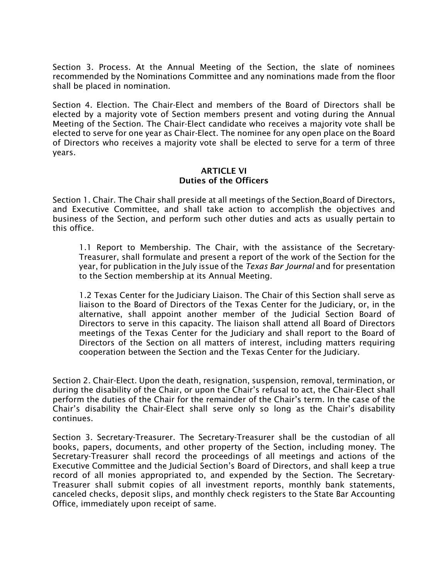Section 3. Process. At the Annual Meeting of the Section, the slate of nominees recommended by the Nominations Committee and any nominations made from the floor shall be placed in nomination.

Section 4. Election. The Chair-Elect and members of the Board of Directors shall be elected by a majority vote of Section members present and voting during the Annual Meeting of the Section. The Chair-Elect candidate who receives a majority vote shall be elected to serve for one year as Chair-Elect. The nominee for any open place on the Board of Directors who receives a majority vote shall be elected to serve for a term of three years.

## **ARTICLE VI** Duties of the Officers

Section 1. Chair. The Chair shall preside at all meetings of the Section,Board of Directors, and Executive Committee, and shall take action to accomplish the objectives and business of the Section, and perform such other duties and acts as usually pertain to this office.

1.1 Report to Membership. The Chair, with the assistance of the Secretary-Treasurer, shall formulate and present a report of the work of the Section for the year, for publication in the July issue of the *Texas Bar Journal* and for presentation to the Section membership at its Annual Meeting.

1.2 Texas Center for the Judiciary Liaison. The Chair of this Section shall serve as liaison to the Board of Directors of the Texas Center for the Judiciary, or, in the alternative, shall appoint another member of the Judicial Section Board of Directors to serve in this capacity. The liaison shall attend all Board of Directors meetings of the Texas Center for the Judiciary and shall report to the Board of Directors of the Section on all matters of interest, including matters requiring cooperation between the Section and the Texas Center for the Judiciary.

Section 2. Chair-Elect. Upon the death, resignation, suspension, removal, termination, or during the disability of the Chair, or upon the Chair's refusal to act, the Chair-Elect shall perform the duties of the Chair for the remainder of the Chair's term. In the case of the Chair's disability the Chair-Elect shall serve only so long as the Chair's disability continues.

Section 3. Secretary-Treasurer. The Secretary-Treasurer shall be the custodian of all books, papers, documents, and other property of the Section, including money. The Secretary-Treasurer shall record the proceedings of all meetings and actions of the Executive Committee and the Judicial Section's Board of Directors, and shall keep a true record of all monies appropriated to, and expended by the Section. The Secretary-Treasurer shall submit copies of all investment reports, monthly bank statements, canceled checks, deposit slips, and monthly check registers to the State Bar Accounting Office, immediately upon receipt of same.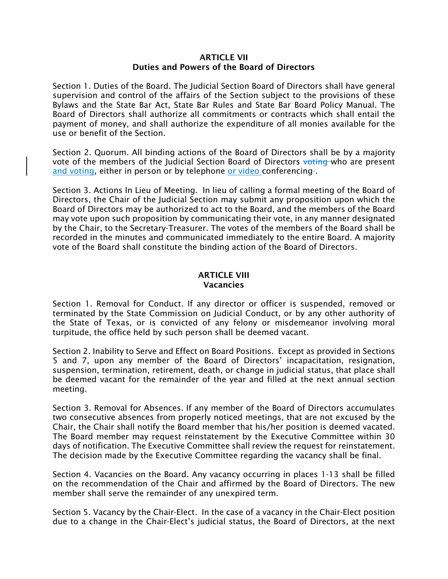## ARTICLE VII Duties and Powers of the Board of Directors

Section 1. Duties of the Board. The Judicial Section Board of Directors shall have general supervision and control of the affairs of the Section subject to the provisions of these Bylaws and the State Bar Act, State Bar Rules and State Bar Board Policy Manual. The Board of Directors shall authorize all commitments or contracts which shall entail the payment of money, and shall authorize the expenditure of all monies available for the use or benefit of the Section.

Section 2. Quorum. All binding actions of the Board of Directors shall be by a majority vote of the members of the Judicial Section Board of Directors voting who are present and voting, either in person or by telephone or video conferencing-.

Section 3. Actions In Lieu of Meeting. In lieu of calling a formal meeting of the Board of Directors, the Chair of the Judicial Section may submit any proposition upon which the Board of Directors may be authorized to act to the Board, and the members of the Board may vote upon such proposition by communicating their vote, in any manner designated by the Chair, to the Secretary-Treasurer. The votes of the members of the Board shall be recorded in the minutes and communicated immediately to the entire Board. A majority vote of the Board shall constitute the binding action of the Board of Directors.

## ARTICLE VIII Vacancies

Section 1. Removal for Conduct. If any director or officer is suspended, removed or terminated by the State Commission on Judicial Conduct, or by any other authority of the State of Texas, or is convicted of any felony or misdemeanor involving moral turpitude, the office held by such person shall be deemed vacant.

Section 2. Inability to Serve and Effect on Board Positions. Except as provided in Sections 5 and 7, upon any member of the Board of Directors' incapacitation, resignation, suspension, termination, retirement, death, or change in judicial status, that place shall be deemed vacant for the remainder of the year and filled at the next annual section meeting.

Section 3. Removal for Absences. If any member of the Board of Directors accumulates two consecutive absences from properly noticed meetings, that are not excused by the Chair, the Chair shall notify the Board member that his/her position is deemed vacated. The Board member may request reinstatement by the Executive Committee within 30 days of notification. The Executive Committee shall review the request for reinstatement. The decision made by the Executive Committee regarding the vacancy shall be final.

Section 4. Vacancies on the Board. Any vacancy occurring in places 1-13 shall be filled on the recommendation of the Chair and affirmed by the Board of Directors. The new member shall serve the remainder of any unexpired term.

Section 5. Vacancy by the Chair-Elect. In the case of a vacancy in the Chair-Elect position due to a change in the Chair-Elect's judicial status, the Board of Directors, at the next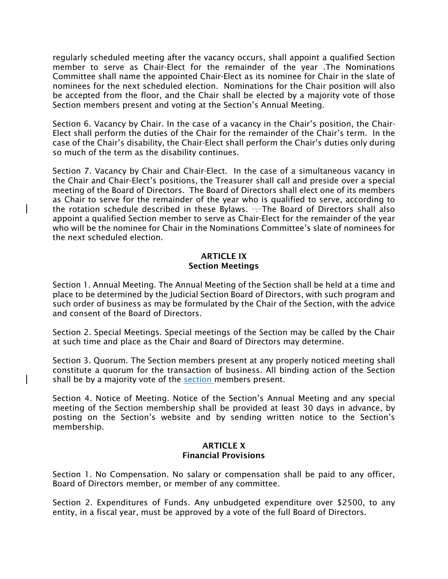regularly scheduled meeting after the vacancy occurs, shall appoint a qualified Section member to serve as Chair-Elect for the remainder of the year .The Nominations Committee shall name the appointed Chair-Elect as its nominee for Chair in the slate of nominees for the next scheduled election. Nominations for the Chair position will also be accepted from the floor, and the Chair shall be elected by a majority vote of those Section members present and voting at the Section's Annual Meeting.

Section 6. Vacancy by Chair. In the case of a vacancy in the Chair's position, the Chair-Elect shall perform the duties of the Chair for the remainder of the Chair's term. In the case of the Chair's disability, the Chair-Elect shall perform the Chair's duties only during so much of the term as the disability continues.

Section 7. Vacancy by Chair and Chair-Elect. In the case of a simultaneous vacancy in the Chair and Chair-Elect's positions, the Treasurer shall call and preside over a special meeting of the Board of Directors. The Board of Directors shall elect one of its members as Chair to serve for the remainder of the year who is qualified to serve, according to the rotation schedule described in these Bylaws.  $-$ The Board of Directors shall also appoint a qualified Section member to serve as Chair-Elect for the remainder of the year who will be the nominee for Chair in the Nominations Committee's slate of nominees for the next scheduled election.

# ARTICLE IX Section Meetings

Section 1. Annual Meeting. The Annual Meeting of the Section shall be held at a time and place to be determined by the Judicial Section Board of Directors, with such program and such order of business as may be formulated by the Chair of the Section, with the advice and consent of the Board of Directors.

Section 2. Special Meetings. Special meetings of the Section may be called by the Chair at such time and place as the Chair and Board of Directors may determine.

Section 3. Quorum. The Section members present at any properly noticed meeting shall constitute a quorum for the transaction of business. All binding action of the Section shall be by a majority vote of the section members present.

Section 4. Notice of Meeting. Notice of the Section's Annual Meeting and any special meeting of the Section membership shall be provided at least 30 days in advance, by posting on the Section's website and by sending written notice to the Section's membership.

# ARTICLE X Financial Provisions

Section 1. No Compensation. No salary or compensation shall be paid to any officer, Board of Directors member, or member of any committee.

Section 2. Expenditures of Funds. Any unbudgeted expenditure over \$2500, to any entity, in a fiscal year, must be approved by a vote of the full Board of Directors.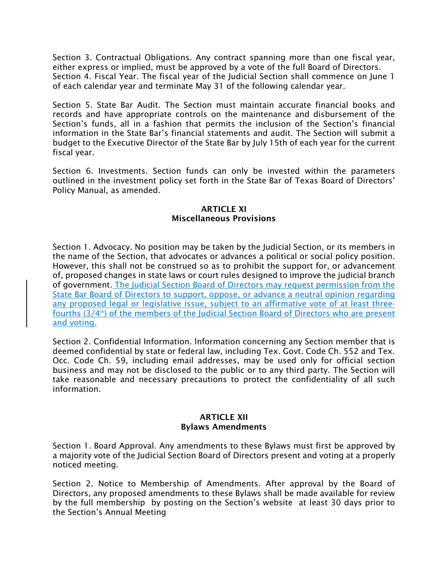Section 3. Contractual Obligations. Any contract spanning more than one fiscal year, either express or implied, must be approved by a vote of the full Board of Directors. Section 4. Fiscal Year. The fiscal year of the Judicial Section shall commence on June 1 of each calendar year and terminate May 31 of the following calendar year.

Section 5. State Bar Audit. The Section must maintain accurate financial books and records and have appropriate controls on the maintenance and disbursement of the Section's funds, all in a fashion that permits the inclusion of the Section's financial information in the State Bar's financial statements and audit. The Section will submit a budget to the Executive Director of the State Bar by July 15th of each year for the current fiscal year.

Section 6. Investments. Section funds can only be invested within the parameters outlined in the investment policy set forth in the State Bar of Texas Board of Directors' Policy Manual, as amended.

# ARTICLE XI Miscellaneous Provisions

Section 1. Advocacy. No position may be taken by the Judicial Section, or its members in the name of the Section, that advocates or advances a political or social policy position. However, this shall not be construed so as to prohibit the support for, or advancement of, proposed changes in state laws or court rules designed to improve the judicial branch of government. The Judicial Section Board of Directors may request permission from the State Bar Board of Directors to support, oppose, or advance a neutral opinion regarding any proposed legal or legislative issue, subject to an affirmative vote of at least threefourths  $(3/4<sup>th</sup>)$  of the members of the Judicial Section Board of Directors who are present and voting.

Section 2. Confidential Information. lnformation concerning any Section member that is deemed confidential by state or federal law, including Tex. Govt. Code Ch. 552 and Tex. Occ. Code Ch. 59, including email addresses, may be used only for official section business and may not be disclosed to the public or to any third party. The Section will take reasonable and necessary precautions to protect the confidentiality of all such information.

#### ARTICLE XII Bylaws Amendments

Section 1. Board Approval. Any amendments to these Bylaws must first be approved by a majority vote of the Judicial Section Board of Directors present and voting at a properly noticed meeting.

Section 2. Notice to Membership of Amendments. After approval by the Board of Directors, any proposed amendments to these Bylaws shall be made available for review by the full membership by posting on the Section's website at least 30 days prior to the Section's Annual Meeting